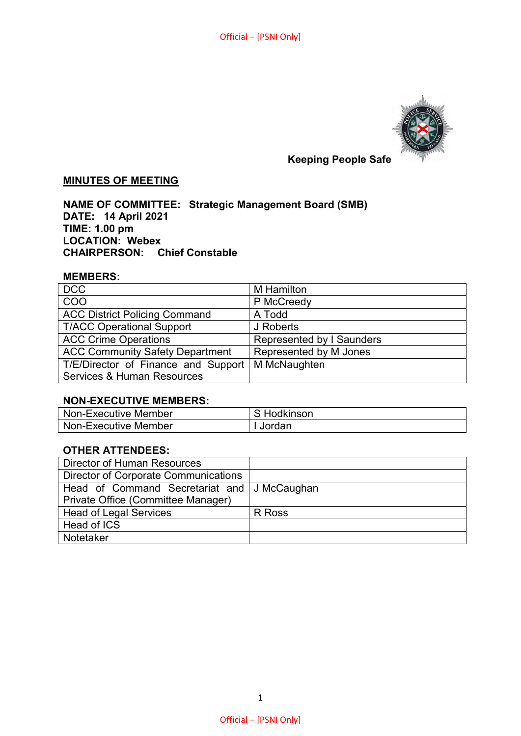

# **Keeping People Safe**

# **MINUTES OF MEETING**

**NAME OF COMMITTEE: Strategic Management Board (SMB) DATE: 14 April 2021 TIME: 1.00 pm LOCATION: Webex CHAIRPERSON: Chief Constable** 

#### **MEMBERS:**

| <b>DCC</b>                             | M Hamilton                |
|----------------------------------------|---------------------------|
| COO                                    | P McCreedy                |
| <b>ACC District Policing Command</b>   | A Todd                    |
| <b>T/ACC Operational Support</b>       | J Roberts                 |
| <b>ACC Crime Operations</b>            | Represented by I Saunders |
| <b>ACC Community Safety Department</b> | Represented by M Jones    |
| T/E/Director of Finance and Support    | M McNaughten              |
| <b>Services &amp; Human Resources</b>  |                           |

#### **NON-EXECUTIVE MEMBERS:**

| Non-Executive Member | Hodkinson |
|----------------------|-----------|
| Non-Executive Member | Jordan    |

#### **OTHER ATTENDEES:**

| <b>Director of Human Resources</b>          |        |
|---------------------------------------------|--------|
| <b>Director of Corporate Communications</b> |        |
| Head of Command Secretariat and J McCaughan |        |
| Private Office (Committee Manager)          |        |
| <b>Head of Legal Services</b>               | R Ross |
| Head of ICS                                 |        |
| <b>Notetaker</b>                            |        |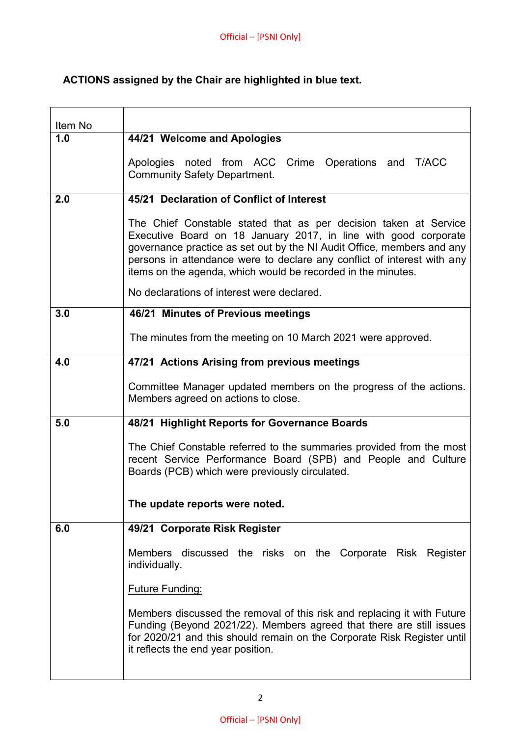# **ACTIONS assigned by the Chair are highlighted in blue text.**

| Item No |                                                                                                                                                                                                                                                                                                                                                          |
|---------|----------------------------------------------------------------------------------------------------------------------------------------------------------------------------------------------------------------------------------------------------------------------------------------------------------------------------------------------------------|
| 1.0     | 44/21 Welcome and Apologies                                                                                                                                                                                                                                                                                                                              |
|         | Apologies noted from ACC Crime Operations and T/ACC<br><b>Community Safety Department.</b>                                                                                                                                                                                                                                                               |
| 2.0     | 45/21 Declaration of Conflict of Interest                                                                                                                                                                                                                                                                                                                |
|         | The Chief Constable stated that as per decision taken at Service<br>Executive Board on 18 January 2017, in line with good corporate<br>governance practice as set out by the NI Audit Office, members and any<br>persons in attendance were to declare any conflict of interest with any<br>items on the agenda, which would be recorded in the minutes. |
|         | No declarations of interest were declared.                                                                                                                                                                                                                                                                                                               |
| 3.0     | 46/21 Minutes of Previous meetings                                                                                                                                                                                                                                                                                                                       |
|         | The minutes from the meeting on 10 March 2021 were approved.                                                                                                                                                                                                                                                                                             |
| 4.0     | 47/21 Actions Arising from previous meetings                                                                                                                                                                                                                                                                                                             |
|         | Committee Manager updated members on the progress of the actions.<br>Members agreed on actions to close.                                                                                                                                                                                                                                                 |
| 5.0     | 48/21 Highlight Reports for Governance Boards                                                                                                                                                                                                                                                                                                            |
|         | The Chief Constable referred to the summaries provided from the most<br>recent Service Performance Board (SPB) and People and Culture<br>Boards (PCB) which were previously circulated.                                                                                                                                                                  |
|         | The update reports were noted.                                                                                                                                                                                                                                                                                                                           |
| 6.0     | 49/21 Corporate Risk Register                                                                                                                                                                                                                                                                                                                            |
|         | discussed the risks on the Corporate Risk Register<br><b>Members</b><br>individually.                                                                                                                                                                                                                                                                    |
|         | <b>Future Funding:</b>                                                                                                                                                                                                                                                                                                                                   |
|         | Members discussed the removal of this risk and replacing it with Future<br>Funding (Beyond 2021/22). Members agreed that there are still issues<br>for 2020/21 and this should remain on the Corporate Risk Register until<br>it reflects the end year position.                                                                                         |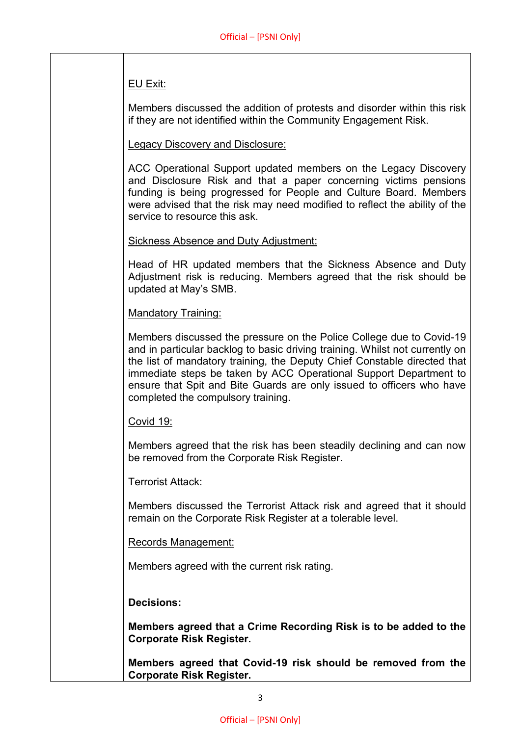# EU Exit:

Members discussed the addition of protests and disorder within this risk if they are not identified within the Community Engagement Risk.

# Legacy Discovery and Disclosure:

ACC Operational Support updated members on the Legacy Discovery and Disclosure Risk and that a paper concerning victims pensions funding is being progressed for People and Culture Board. Members were advised that the risk may need modified to reflect the ability of the service to resource this ask.

# Sickness Absence and Duty Adjustment:

Head of HR updated members that the Sickness Absence and Duty Adjustment risk is reducing. Members agreed that the risk should be updated at May's SMB.

# Mandatory Training:

Members discussed the pressure on the Police College due to Covid-19 and in particular backlog to basic driving training. Whilst not currently on the list of mandatory training, the Deputy Chief Constable directed that immediate steps be taken by ACC Operational Support Department to ensure that Spit and Bite Guards are only issued to officers who have completed the compulsory training.

#### Covid 19:

Members agreed that the risk has been steadily declining and can now be removed from the Corporate Risk Register.

# Terrorist Attack:

Members discussed the Terrorist Attack risk and agreed that it should remain on the Corporate Risk Register at a tolerable level.

#### Records Management:

Members agreed with the current risk rating.

#### **Decisions:**

**Members agreed that a Crime Recording Risk is to be added to the Corporate Risk Register.**

**Members agreed that Covid-19 risk should be removed from the Corporate Risk Register.**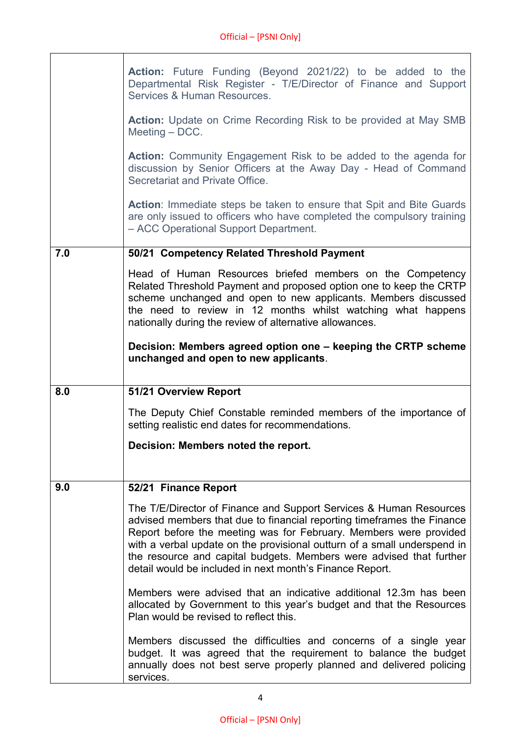|     | <b>Action:</b> Future Funding (Beyond 2021/22) to be added to the<br>Departmental Risk Register - T/E/Director of Finance and Support<br>Services & Human Resources.                                                                                                                                                                                                                                                             |
|-----|----------------------------------------------------------------------------------------------------------------------------------------------------------------------------------------------------------------------------------------------------------------------------------------------------------------------------------------------------------------------------------------------------------------------------------|
|     | <b>Action:</b> Update on Crime Recording Risk to be provided at May SMB<br>Meeting $-$ DCC.                                                                                                                                                                                                                                                                                                                                      |
|     | <b>Action:</b> Community Engagement Risk to be added to the agenda for<br>discussion by Senior Officers at the Away Day - Head of Command<br>Secretariat and Private Office.                                                                                                                                                                                                                                                     |
|     | <b>Action:</b> Immediate steps be taken to ensure that Spit and Bite Guards<br>are only issued to officers who have completed the compulsory training<br>- ACC Operational Support Department.                                                                                                                                                                                                                                   |
| 7.0 | 50/21 Competency Related Threshold Payment                                                                                                                                                                                                                                                                                                                                                                                       |
|     | Head of Human Resources briefed members on the Competency<br>Related Threshold Payment and proposed option one to keep the CRTP<br>scheme unchanged and open to new applicants. Members discussed<br>the need to review in 12 months whilst watching what happens<br>nationally during the review of alternative allowances.                                                                                                     |
|     | Decision: Members agreed option one - keeping the CRTP scheme<br>unchanged and open to new applicants.                                                                                                                                                                                                                                                                                                                           |
| 8.0 | 51/21 Overview Report                                                                                                                                                                                                                                                                                                                                                                                                            |
|     | The Deputy Chief Constable reminded members of the importance of<br>setting realistic end dates for recommendations.                                                                                                                                                                                                                                                                                                             |
|     | Decision: Members noted the report.                                                                                                                                                                                                                                                                                                                                                                                              |
|     |                                                                                                                                                                                                                                                                                                                                                                                                                                  |
| 9.0 | 52/21 Finance Report                                                                                                                                                                                                                                                                                                                                                                                                             |
|     | The T/E/Director of Finance and Support Services & Human Resources<br>advised members that due to financial reporting timeframes the Finance<br>Report before the meeting was for February. Members were provided<br>with a verbal update on the provisional outturn of a small underspend in<br>the resource and capital budgets. Members were advised that further<br>detail would be included in next month's Finance Report. |
|     | Members were advised that an indicative additional 12.3m has been<br>allocated by Government to this year's budget and that the Resources<br>Plan would be revised to reflect this.                                                                                                                                                                                                                                              |
|     |                                                                                                                                                                                                                                                                                                                                                                                                                                  |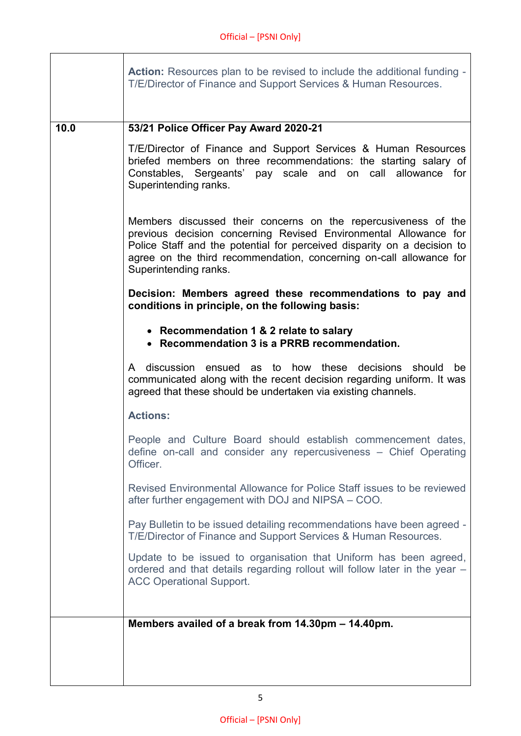$\overline{1}$ 

 $\overline{\phantom{a}}$ 

|      | <b>Action:</b> Resources plan to be revised to include the additional funding -<br>T/E/Director of Finance and Support Services & Human Resources.                                                                                                                                                            |
|------|---------------------------------------------------------------------------------------------------------------------------------------------------------------------------------------------------------------------------------------------------------------------------------------------------------------|
| 10.0 | 53/21 Police Officer Pay Award 2020-21                                                                                                                                                                                                                                                                        |
|      | T/E/Director of Finance and Support Services & Human Resources<br>briefed members on three recommendations: the starting salary of<br>Constables, Sergeants' pay scale and on call allowance for<br>Superintending ranks.                                                                                     |
|      | Members discussed their concerns on the repercusiveness of the<br>previous decision concerning Revised Environmental Allowance for<br>Police Staff and the potential for perceived disparity on a decision to<br>agree on the third recommendation, concerning on-call allowance for<br>Superintending ranks. |
|      | Decision: Members agreed these recommendations to pay and<br>conditions in principle, on the following basis:                                                                                                                                                                                                 |
|      | • Recommendation 1 & 2 relate to salary<br>• Recommendation 3 is a PRRB recommendation.                                                                                                                                                                                                                       |
|      | discussion ensued as to how these decisions should<br>A<br>be<br>communicated along with the recent decision regarding uniform. It was<br>agreed that these should be undertaken via existing channels.                                                                                                       |
|      | <b>Actions:</b>                                                                                                                                                                                                                                                                                               |
|      | People and Culture Board should establish commencement dates,<br>define on-call and consider any repercusiveness - Chief Operating<br>Officer.                                                                                                                                                                |
|      | Revised Environmental Allowance for Police Staff issues to be reviewed<br>after further engagement with DOJ and NIPSA – COO.                                                                                                                                                                                  |
|      | Pay Bulletin to be issued detailing recommendations have been agreed -<br>T/E/Director of Finance and Support Services & Human Resources.                                                                                                                                                                     |
|      | Update to be issued to organisation that Uniform has been agreed,<br>ordered and that details regarding rollout will follow later in the year -<br><b>ACC Operational Support.</b>                                                                                                                            |
|      |                                                                                                                                                                                                                                                                                                               |
|      | Members availed of a break from 14.30pm - 14.40pm.                                                                                                                                                                                                                                                            |
|      |                                                                                                                                                                                                                                                                                                               |
|      |                                                                                                                                                                                                                                                                                                               |
|      |                                                                                                                                                                                                                                                                                                               |

5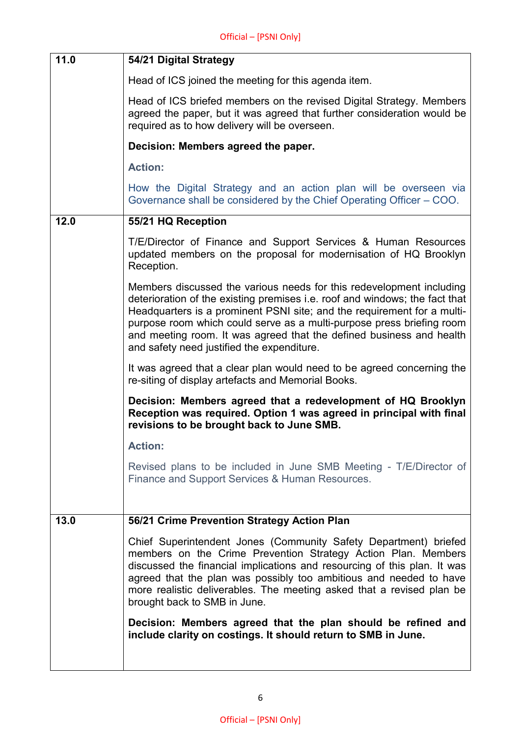| 11.0 | 54/21 Digital Strategy                                                                                                                                                                                                                                                                                                                                                                                                        |
|------|-------------------------------------------------------------------------------------------------------------------------------------------------------------------------------------------------------------------------------------------------------------------------------------------------------------------------------------------------------------------------------------------------------------------------------|
|      | Head of ICS joined the meeting for this agenda item.                                                                                                                                                                                                                                                                                                                                                                          |
|      | Head of ICS briefed members on the revised Digital Strategy. Members<br>agreed the paper, but it was agreed that further consideration would be<br>required as to how delivery will be overseen.                                                                                                                                                                                                                              |
|      | Decision: Members agreed the paper.                                                                                                                                                                                                                                                                                                                                                                                           |
|      | <b>Action:</b>                                                                                                                                                                                                                                                                                                                                                                                                                |
|      | How the Digital Strategy and an action plan will be overseen via<br>Governance shall be considered by the Chief Operating Officer – COO.                                                                                                                                                                                                                                                                                      |
| 12.0 | 55/21 HQ Reception                                                                                                                                                                                                                                                                                                                                                                                                            |
|      | T/E/Director of Finance and Support Services & Human Resources<br>updated members on the proposal for modernisation of HQ Brooklyn<br>Reception.                                                                                                                                                                                                                                                                              |
|      | Members discussed the various needs for this redevelopment including<br>deterioration of the existing premises i.e. roof and windows; the fact that<br>Headquarters is a prominent PSNI site; and the requirement for a multi-<br>purpose room which could serve as a multi-purpose press briefing room<br>and meeting room. It was agreed that the defined business and health<br>and safety need justified the expenditure. |
|      | It was agreed that a clear plan would need to be agreed concerning the<br>re-siting of display artefacts and Memorial Books.                                                                                                                                                                                                                                                                                                  |
|      | Decision: Members agreed that a redevelopment of HQ Brooklyn<br>Reception was required. Option 1 was agreed in principal with final<br>revisions to be brought back to June SMB.                                                                                                                                                                                                                                              |
|      | <b>Action:</b>                                                                                                                                                                                                                                                                                                                                                                                                                |
|      | Revised plans to be included in June SMB Meeting - T/E/Director of<br>Finance and Support Services & Human Resources.                                                                                                                                                                                                                                                                                                         |
| 13.0 | 56/21 Crime Prevention Strategy Action Plan                                                                                                                                                                                                                                                                                                                                                                                   |
|      | Chief Superintendent Jones (Community Safety Department) briefed<br>members on the Crime Prevention Strategy Action Plan. Members<br>discussed the financial implications and resourcing of this plan. It was<br>agreed that the plan was possibly too ambitious and needed to have<br>more realistic deliverables. The meeting asked that a revised plan be<br>brought back to SMB in June.                                  |
|      | Decision: Members agreed that the plan should be refined and<br>include clarity on costings. It should return to SMB in June.                                                                                                                                                                                                                                                                                                 |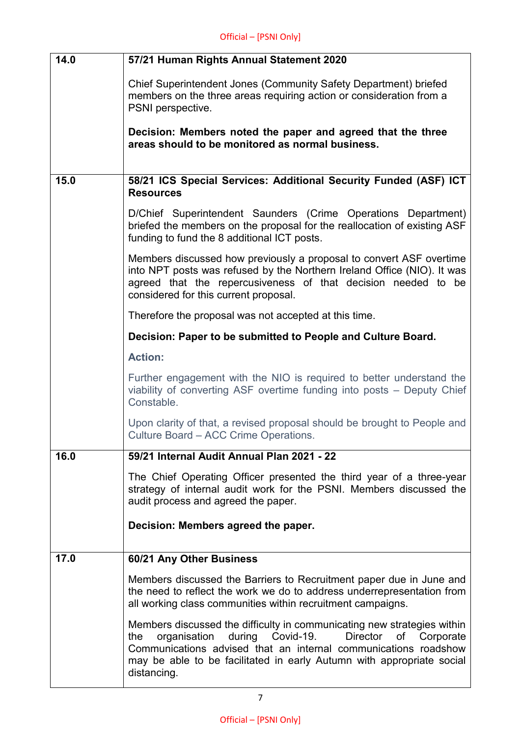| 14.0 | 57/21 Human Rights Annual Statement 2020                                                                                                                                                                                                                                                               |
|------|--------------------------------------------------------------------------------------------------------------------------------------------------------------------------------------------------------------------------------------------------------------------------------------------------------|
|      | Chief Superintendent Jones (Community Safety Department) briefed<br>members on the three areas requiring action or consideration from a<br>PSNI perspective.                                                                                                                                           |
|      | Decision: Members noted the paper and agreed that the three<br>areas should to be monitored as normal business.                                                                                                                                                                                        |
| 15.0 | 58/21 ICS Special Services: Additional Security Funded (ASF) ICT                                                                                                                                                                                                                                       |
|      | <b>Resources</b>                                                                                                                                                                                                                                                                                       |
|      | D/Chief Superintendent Saunders (Crime Operations Department)<br>briefed the members on the proposal for the reallocation of existing ASF<br>funding to fund the 8 additional ICT posts.                                                                                                               |
|      | Members discussed how previously a proposal to convert ASF overtime<br>into NPT posts was refused by the Northern Ireland Office (NIO). It was<br>agreed that the repercusiveness of that decision needed to be<br>considered for this current proposal.                                               |
|      | Therefore the proposal was not accepted at this time.                                                                                                                                                                                                                                                  |
|      | Decision: Paper to be submitted to People and Culture Board.                                                                                                                                                                                                                                           |
|      | <b>Action:</b>                                                                                                                                                                                                                                                                                         |
|      | Further engagement with the NIO is required to better understand the<br>viability of converting ASF overtime funding into posts - Deputy Chief<br>Constable.                                                                                                                                           |
|      | Upon clarity of that, a revised proposal should be brought to People and<br>Culture Board - ACC Crime Operations.                                                                                                                                                                                      |
| 16.0 | 59/21 Internal Audit Annual Plan 2021 - 22                                                                                                                                                                                                                                                             |
|      | The Chief Operating Officer presented the third year of a three-year<br>strategy of internal audit work for the PSNI. Members discussed the<br>audit process and agreed the paper.                                                                                                                     |
|      | Decision: Members agreed the paper.                                                                                                                                                                                                                                                                    |
| 17.0 | 60/21 Any Other Business                                                                                                                                                                                                                                                                               |
|      | Members discussed the Barriers to Recruitment paper due in June and<br>the need to reflect the work we do to address underrepresentation from<br>all working class communities within recruitment campaigns.                                                                                           |
|      | Members discussed the difficulty in communicating new strategies within<br>during Covid-19.<br>organisation<br>Director of Corporate<br>the<br>Communications advised that an internal communications roadshow<br>may be able to be facilitated in early Autumn with appropriate social<br>distancing. |